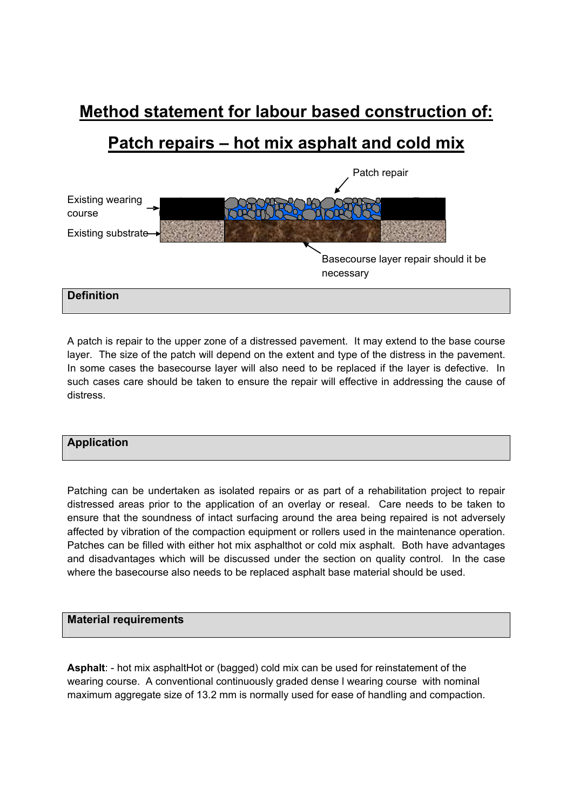# **Method statement for labour based construction of:**

# **Patch repairs – hot mix asphalt and cold mix**



A patch is repair to the upper zone of a distressed pavement. It may extend to the base course layer. The size of the patch will depend on the extent and type of the distress in the pavement. In some cases the basecourse layer will also need to be replaced if the layer is defective. In such cases care should be taken to ensure the repair will effective in addressing the cause of distress.

# **Application**

Patching can be undertaken as isolated repairs or as part of a rehabilitation project to repair distressed areas prior to the application of an overlay or reseal. Care needs to be taken to ensure that the soundness of intact surfacing around the area being repaired is not adversely affected by vibration of the compaction equipment or rollers used in the maintenance operation. Patches can be filled with either hot mix asphalthot or cold mix asphalt. Both have advantages and disadvantages which will be discussed under the section on quality control. In the case where the basecourse also needs to be replaced asphalt base material should be used.

# **Material requirements**

Asphalt: - hot mix asphaltHot or (bagged) cold mix can be used for reinstatement of the wearing course. A conventional continuously graded dense l wearing course with nominal maximum aggregate size of 13.2 mm is normally used for ease of handling and compaction.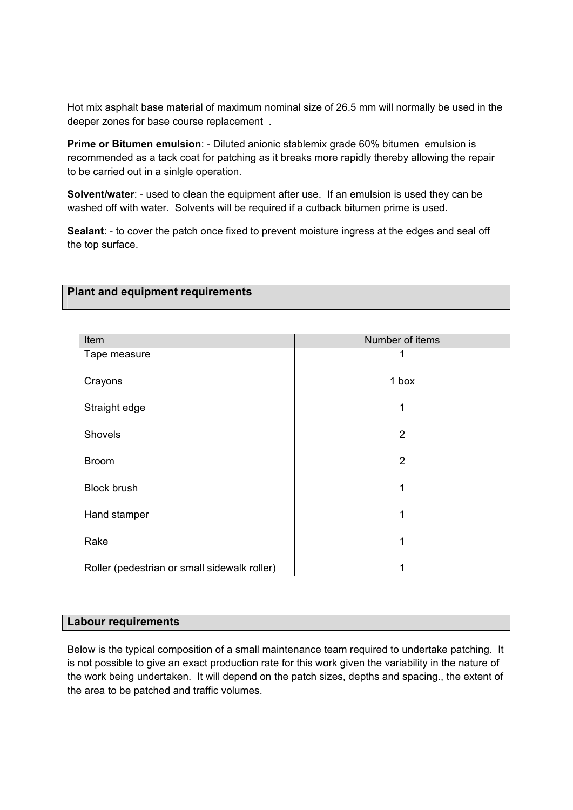Hot mix asphalt base material of maximum nominal size of 26.5 mm will normally be used in the deeper zones for base course replacement .

**Prime or Bitumen emulsion:** - Diluted anionic stablemix grade 60% bitumen emulsion is recommended as a tack coat for patching as it breaks more rapidly thereby allowing the repair to be carried out in a sinlgle operation.

**Solvent/water**: - used to clean the equipment after use. If an emulsion is used they can be washed off with water. Solvents will be required if a cutback bitumen prime is used.

**Sealant**: - to cover the patch once fixed to prevent moisture ingress at the edges and seal off the top surface.

# **Plant and equipment requirements**

| Item                                         | Number of items |
|----------------------------------------------|-----------------|
| Tape measure                                 |                 |
| Crayons                                      | 1 box           |
| Straight edge                                | 1               |
|                                              |                 |
| Shovels                                      | $\overline{2}$  |
|                                              |                 |
| <b>Broom</b>                                 | $\overline{2}$  |
| <b>Block brush</b>                           | 1               |
|                                              |                 |
| Hand stamper                                 | 1               |
|                                              |                 |
| Rake                                         | 1               |
| Roller (pedestrian or small sidewalk roller) |                 |

#### **Labour requirements**

Below is the typical composition of a small maintenance team required to undertake patching. It is not possible to give an exact production rate for this work given the variability in the nature of the work being undertaken. It will depend on the patch sizes, depths and spacing., the extent of the area to be patched and traffic volumes.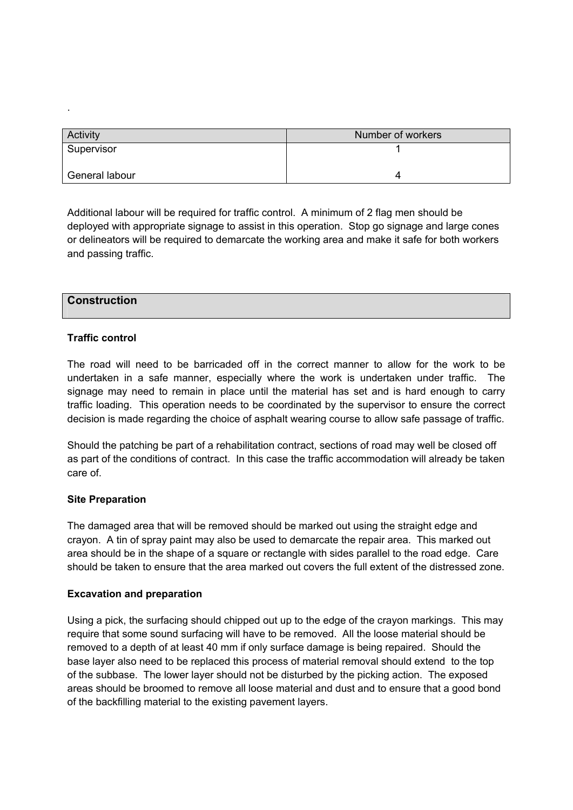| Activity       | Number of workers |
|----------------|-------------------|
| Supervisor     |                   |
| General labour |                   |

Additional labour will be required for traffic control. A minimum of 2 flag men should be deployed with appropriate signage to assist in this operation. Stop go signage and large cones or delineators will be required to demarcate the working area and make it safe for both workers and passing traffic.

# **Construction**

.

## **Traffic control**

The road will need to be barricaded off in the correct manner to allow for the work to be undertaken in a safe manner, especially where the work is undertaken under traffic. The signage may need to remain in place until the material has set and is hard enough to carry traffic loading. This operation needs to be coordinated by the supervisor to ensure the correct decision is made regarding the choice of asphalt wearing course to allow safe passage of traffic.

Should the patching be part of a rehabilitation contract, sections of road may well be closed off as part of the conditions of contract. In this case the traffic accommodation will already be taken care of.

#### **Site Preparation**

The damaged area that will be removed should be marked out using the straight edge and crayon. A tin of spray paint may also be used to demarcate the repair area. This marked out area should be in the shape of a square or rectangle with sides parallel to the road edge. Care should be taken to ensure that the area marked out covers the full extent of the distressed zone.

#### **Excavation and preparation**

Using a pick, the surfacing should chipped out up to the edge of the crayon markings. This may require that some sound surfacing will have to be removed. All the loose material should be removed to a depth of at least 40 mm if only surface damage is being repaired. Should the base layer also need to be replaced this process of material removal should extend to the top of the subbase. The lower layer should not be disturbed by the picking action. The exposed areas should be broomed to remove all loose material and dust and to ensure that a good bond of the backfilling material to the existing pavement layers.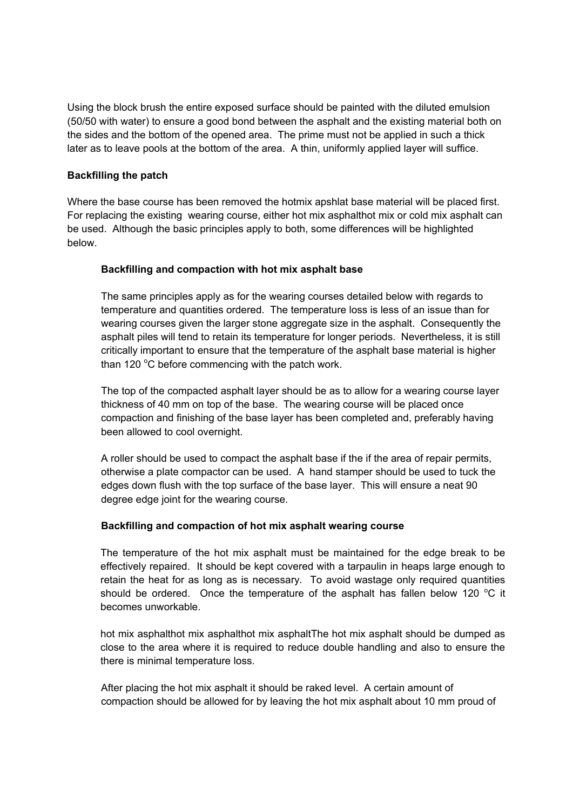Using the block brush the entire exposed surface should be painted with the diluted emulsion (50/50 with water) to ensure a good bond between the asphalt and the existing material both on the sides and the bottom of the opened area. The prime must not be applied in such a thick later as to leave pools at the bottom of the area. A thin, uniformly applied layer will suffice.

## **Backfilling the patch**

Where the base course has been removed the hotmix apshlat base material will be placed first. For replacing the existing wearing course, either hot mix asphalthot mix or cold mix asphalt can be used. Although the basic principles apply to both, some differences will be highlighted below.

## **Backfilling and compaction with hot mix asphalt base**

The same principles apply as for the wearing courses detailed below with regards to temperature and quantities ordered. The temperature loss is less of an issue than for wearing courses given the larger stone aggregate size in the asphalt. Consequently the asphalt piles will tend to retain its temperature for longer periods. Nevertheless, it is still critically important to ensure that the temperature of the asphalt base material is higher than 120 $\mathrm{^{\circ}C}$  before commencing with the patch work.

The top of the compacted asphalt layer should be as to allow for a wearing course layer thickness of 40 mm on top of the base. The wearing course will be placed once compaction and finishing of the base layer has been completed and, preferably having been allowed to cool overnight.

A roller should be used to compact the asphalt base if the if the area of repair permits, otherwise a plate compactor can be used. A hand stamper should be used to tuck the edges down flush with the top surface of the base layer. This will ensure a neat 90 degree edge joint for the wearing course.

# **Backfilling and compaction of hot mix asphalt wearing course**

The temperature of the hot mix asphalt must be maintained for the edge break to be effectively repaired. It should be kept covered with a tarpaulin in heaps large enough to retain the heat for as long as is necessary. To avoid wastage only required quantities should be ordered. Once the temperature of the asphalt has fallen below 120  $^{\circ}$ C it becomes unworkable.

hot mix asphalthot mix asphalthot mix asphaltThe hot mix asphalt should be dumped as close to the area where it is required to reduce double handling and also to ensure the there is minimal temperature loss.

After placing the hot mix asphalt it should be raked level. A certain amount of compaction should be allowed for by leaving the hot mix asphalt about 10 mm proud of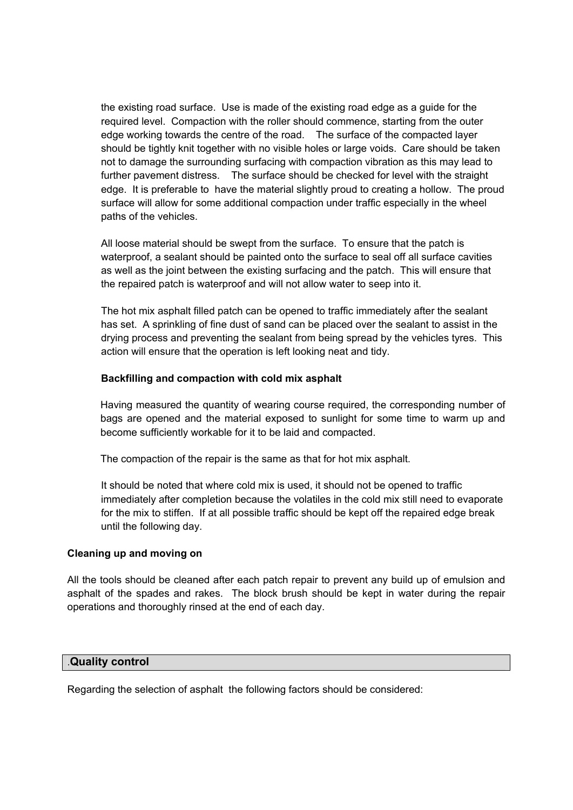the existing road surface. Use is made of the existing road edge as a guide for the required level. Compaction with the roller should commence, starting from the outer edge working towards the centre of the road. The surface of the compacted layer should be tightly knit together with no visible holes or large voids. Care should be taken not to damage the surrounding surfacing with compaction vibration as this may lead to further pavement distress. The surface should be checked for level with the straight edge. It is preferable to have the material slightly proud to creating a hollow. The proud surface will allow for some additional compaction under traffic especially in the wheel paths of the vehicles.

All loose material should be swept from the surface. To ensure that the patch is waterproof, a sealant should be painted onto the surface to seal off all surface cavities as well as the joint between the existing surfacing and the patch. This will ensure that the repaired patch is waterproof and will not allow water to seep into it.

The hot mix asphalt filled patch can be opened to traffic immediately after the sealant has set. A sprinkling of fine dust of sand can be placed over the sealant to assist in the drying process and preventing the sealant from being spread by the vehicles tyres. This action will ensure that the operation is left looking neat and tidy.

# **Backfilling and compaction with cold mix asphalt**

Having measured the quantity of wearing course required, the corresponding number of bags are opened and the material exposed to sunlight for some time to warm up and become sufficiently workable for it to be laid and compacted.

The compaction of the repair is the same as that for hot mix asphalt.

It should be noted that where cold mix is used, it should not be opened to traffic immediately after completion because the volatiles in the cold mix still need to evaporate for the mix to stiffen. If at all possible traffic should be kept off the repaired edge break until the following day.

#### **Cleaning up and moving on**

All the tools should be cleaned after each patch repair to prevent any build up of emulsion and asphalt of the spades and rakes. The block brush should be kept in water during the repair operations and thoroughly rinsed at the end of each day.

#### .**Quality control**

Regarding the selection of asphalt the following factors should be considered: